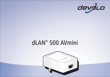

# dLAN<sup>®</sup> 500 AVmini

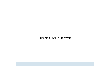# devolo dLAN® 500 AVmini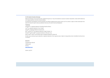#### © 2012 devolo AG Aachen (Germany)

While the information in this manual has been compiled with great care, it may not be deemed an assurance of product characteristics. devolo shall be liable only to the degree specified in the terms of sale and delivery.

The reproduction and distribution of the documentation and software supplied with this product and the use of its contents is subject to written authorization from devolo. We reserve the right to make any alterations that arise as the result of technical development.

#### **Trademarks**

HomePlug® is a registered trademark of HomePlug Powerline Alliance.

Linux<sup>®</sup> is a registered trademark of Linus Torvalds.

Ubuntu®is a registered trademark of Canonical Ltd.

Mac<sup>®</sup> and Mac OS X<sup>®</sup> are registered trademarks of Apple Computer, Inc.

Windows<sup>®</sup> and Microsoft<sup>®</sup> are registered trademarks of Microsoft, Corp.

devolo, dLAN<sup>®</sup>, Vianect<sup>®</sup> and the devolo logo are registered trademarks of devolo AG.

All other names mentioned may be trademarks or registered trademarks of their respective owners. Subject to change without notice. No liability for technical errors or omissions.

#### devolo AG

Charlottenburger Allee 60 52068 AachenGermany **www.devolo.com**

Aachen, July 2012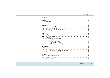# [Contents](#page-5-0)

| 1             | 1.1                                                        |
|---------------|------------------------------------------------------------|
| $\mathcal{L}$ | 2.1<br>2.2<br>2.3<br>2.4                                   |
| 3             | 3.1<br>3.2<br>3.3<br>3.4<br>3.5<br>3.5.1<br>3.5.2<br>3.5.3 |
| 4             | 4.1<br>4.2<br>4.2.1<br>4.3                                 |
| 5.            | 5.1<br>5.2<br>5.3                                          |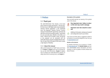# <span id="page-5-0"></span>1 Preface

# <span id="page-5-1"></span>1.1 Thank you!

*The dLAN 500 AVmini from devolo is the homeplug-in device for high requirements: The fast transfer rate of up to 500 Mbps makes every bandwidthintensive Internet application a real multimedia treat. The integrated "Quality of Service" function measures the bandwidth requirement, optimises the data flow and ensures excellent quality—particularly for voice and video data. Whether in the office or athome—devices such as modem, router, set-top box or the computer can be connected with the dLAN 500 AVmini using the available Ethernet interface. On top of that, the range of 300 meters creates a high degree of flexibility.*

# <span id="page-5-2"></span>1.1.1 About this manual

After a brief introduction to "dLAN" basics and "GreenIT" in Chapter 2, Chapter 3 will cover successfully setting up your dLAN 500 AVmini. Chapter 4 explains how to configure your dLAN 500 AVmini network. For safety notes and our warranty terms, see Chapter 5.

#### Description of the symbols

Here we briefly describe the meaning of the symbols used in this manual.



 $(0)$ 

## *Very important note. Failure to observe this note may result in damage.*

### *Important note that should be observed.*

*Additional information, background material and configuration tips for your device.*

If you have any further ideas or suggestions related to our products, we would be delighted to hear from you at support@devolo.com!

#### devolo on the Internet

For detailed information on our products or "dLAN", visit www.devolo.com. The **Service Centre** area contains downloadable product descriptions and documentation, as well as updates to devolo software and device firmware.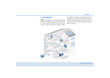# <span id="page-7-0"></span>2 Introduction

**dLAN** is an intelligent, secure technology that lets you set up a home network easily, quickly and economically via your household electrical wiring, without the need for complex and expensive dedicated cabling. The available performance and effort required for the installation also compares favourably to traditional methods—dLAN technology now attains speeds you would expect from other LAN technologies, and installing it is a breeze!

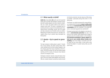# <span id="page-8-0"></span>2.1 What exactly is dLAN?

**dLAN** (**d**irect **L**ocal **A**rea **N**etwork) uses the household power grid to transfer data between computers equipped with suitable adapters and other network components. As a result, any power outlet can be used as a network access point. The data is modulated prior to transfer and sent as a signal via household power lines. State-of-the-art technology ensures that the power and data networks do not interfere with one another.Networking via dLAN is fast and secure. The data is encrypted using a key to prevent easy interception by third parties.

# 2.2 devolo—Up to speed on green IT

The topic everyone is talking about is green IT. devolo has an easy solution: the power saving mode, which comes standard with the home network adapters, sets the company apart from many competitors in the IT industry. And that has been the case even before global warming and the scarcity of resources have become concerns on everyone's mind.

Developers at devolo, have for a long time kept a close eye on how much power dLAN adapters may consume. After all, a devolo network via electrical sockets should not only be convenient, but also require as little energy as possible—particularly during times when it is not being used.

That devolo can satisfy the demand for energy efficiency is evidenced by the patented **power saving mode** in the devices. **It automatically reduces the energy consumption** when the computers in the dLAN network or connected equipment are switched off.

The power saving mode in the adapters is not only a tribute to **environmental protection** but also a real service to the customer. Most people tend to forget to regularly press the standby button on the hardware. **The patented technology in devolo adapters allows you to save energy without having to do anything**. And if less energy is consumed, your electric meter will turn more slowly. In other words, every minute the adapter is in power saving mode, you will save money.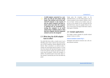*A dLAN adapter connected to a computer can only go into power saving mode if the network card of the switched-off computer is also inactive. If you are using a network card that remains active even when the computer is switched off, we recommend connecting the computer to an on/off switch using a multiple socket so that both the computer and the integrated network card are de-energised.* 

# <span id="page-9-0"></span>2.3 What does the dLAN adapter have to offer?

The dLAN 500 AVmini offers a transfer rate of up to 500 Mbps which makes it ideal for high requirements, such as HDTV streaming, Internet telephony and fast Internet. When connected to an electrical outlet, it changes the home-based electrical system in no time into a fast network with high data throughput. And all of that with optimum transfer and maximum data security using the powerful 128-bit AES encryption. In addition, the patented power saving mode, which comes standard, automatically uses more than 80% less power.

Simply press the encryption button on the dLAN 500 AVmini or use the dLAN Cockpit to set up custom encryption for your network. Whether in the office or at home—devices such as modem, router, settop box or the computer can be connected with the dLAN 500 AVmini using the available Ethernet interface. On top of that, the range of 300 meters creates a high degree of flexibility.

# <span id="page-9-1"></span>2.4 Sample applications

This chapter contains examples for possible network designs in home or in office.

## Internet standalone solution (fig 1)

<span id="page-9-2"></span>Workstation with Internet connection over a DSL modem (Ethernet interface)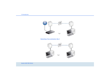

Networking of two workstations (fig 2)

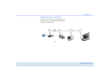# Distributed Internet access solution (fig 3)

Connection of an IP telephone, a high-speed Internet application and an IP-TV application with Internet access via a DSL modem router

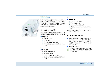# <span id="page-13-0"></span>3 Initial use

This chapter covers everything you need to know to set up your dLAN 500 AVmini. It will explain connecting the dLAN 500 AVmini and its functions. We will also briefly introduce the included devolo software and guide you through its installation.

# <span id="page-13-3"></span><span id="page-13-1"></span>3.1 Package contents

Please ensure that the delivery is complete before beginning with the installation of your dLAN 500 AVmini:

- - **Single Kit**:
	- О dLAN 500 AVmini
	- $\bigcirc$  Network cable
	- $\circ$ Hard copy of installation guide
	- $\bigcirc$  CD containing software and online documentation

#### or

#### -**Starter Kit**:

- О Two dLAN 500 AVmini
- О Two network cables
- $\bigcirc$ Hard copy of installation guide
- $\bigcirc$  CD containing software and online documentation

#### or

#### -**Network Kit**:

- $\circ$  Three dLAN 500 AVmini
- $\bigcirc$ Three network cables
- О Hard copy of installation guide
- $\bigcirc$  CD containing software and online documentation

devolo AG reserves the right to change the package contents without prior notice.

# <span id="page-13-2"></span>3.2 System requirements

- **O** Operating systems: Windows XP (32 bit), Windows Vista Home Premium (32 bit/64 bit), Windows 7 Home Premium (32 bit), Linux (Ubuntu), Mac (OS X) and any other operating system with network support
- -Network connection

 $(0)$ 

*Please note that your computer or other device must feature a network adapter with a network port.*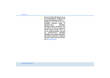*Please note that dLAN devices such asthe devolo dLAN duo (14 Mbps) and devolo dLAN Highspeed Ethernet II (85 Mbps) can be used on the same household electrical wiring as dLAN AV devices (200 Mbps/ 500 Mbps) without interference, but they will not be able to communicate directly with one another. Hence, to set up a dLAN AV network, you need two dLAN AV devices (200 Mbps/ 500 Mbps). More valuable information about dLAN or dLAN AV is available inthe Service Centre section of our website at* www.devolo.com*.*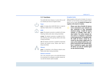# <span id="page-15-0"></span>3.3 Functions

The dLAN 500 AVmini features 3 control LEDs as well as a network port and an encryption button:

# Power

green: Lit steady when dLAN 500 AVmini is ready for operation; flashes when it is in standby mode.

## dLAN

green: The network connection is suitable for HD video streaming; flashes when data is being transmitted.

orange: The network connection is suitable for SD video streaming and online gaming; flashes when data is being transmitted.

red: The network connection is suitable for simple data transfer and Internet access; flashes when data is being transmitted.

## Ethernet

green: A connection to the Ethernet network exists; flashes when data is being transmitted.

#### <span id="page-15-3"></span>Network connection

This is the connection point on the dLAN 500 AVmini for connecting it to a computer or another network device with the network cable (included).

#### <span id="page-15-2"></span>Encryption button

<span id="page-15-1"></span>Data encryption at the touch of a button; For more information on the functions of the encryption button, please see the chapter **[4.3 dLAN AV network en](#page-23-1)[cryption at the touch of a button](#page-23-1)**.

> *Please note that all dLAN AV devicesto be connected to your network are also connected to your household electrical wiring. A dLAN AV device switches to Standby mode after a short while if no active network device such as a computer is connected to the network port. In Standby mode, the dLAN AV device cannot be accessed via the power supply grid. As soon as the network device (e.g. computer) connected to the network interface is switched on again, your dLAN AV device can also be reached again via the electrical wiring.*

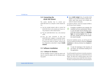# <span id="page-16-0"></span>3.4 Connecting the dLAN 500 AVmini

This section describes how to connect your dLAN 500 AVmini to a computer or other network device.

- Use the included network cable to connect the dLAN 500 AVmini to the network port of your running computer or other network device.
- Plug the dLAN 500 AVmini into a free electrical outlet.
- Once you have connected at least two dLAN 500 AVmini adapters as described above, your dLAN 500 AVmini network has been set up. To secure your dLAN AV network, continue with the configuration as described in chapter **[4 dLAN](#page-19-2) [network](#page-19-2)**.

# <span id="page-16-3"></span><span id="page-16-1"></span>3.5 Software installation

# <span id="page-16-4"></span><span id="page-16-2"></span>3.5.1 Software for Windows

Use the installation wizard to install the devolo software for using the adapter with the Windows operating system:

**o** devolo **dLAN Cockpit** finds all reachable dLAN adapters in your dLAN AV network, displays information about these devices and encrypts your dLAN AV network individually.

To install the software, insert the included CD-ROM in the CD drive of your computer.

*If autoplay is installed on your computer, the*  $(0)$ *installation will start automatically. Otherwise, open the folder with the Windows Explorer by right-clicking on* Start (or the **Windows logo**) *and selecting* Explorer *from the context menu. Double-click to start the installation wizard manually.*

During the installation process, you will be given the choice of installing all software components (Standard installation) or selecting individual ones (Custom installation).



*To take full advantage of the functions of your device, we recommend installing all of the applications.* 

You will be asked for permission to transfer anonymous performance data related to your dLAN 500 AVmini to devolo. The data sent to devolo pertains only to the performance values of your dLAN 500 AVmini devices. The data is anonymized and will be used exclusively for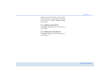statistical purposes. By providing it, you can help us improve our products. You can find the installed software applications in the <code>Start</code>  $\boldsymbol{\uparrow}$  Programs  $\boldsymbol{\uparrow}$  devolo program group.

# <span id="page-17-3"></span><span id="page-17-0"></span>3.5.2 Software for Mac (OS X)

The  $\mathsf{softmax} \mathbin{\uparrow}$  mac folder contains the dLAN configuration software.

# <span id="page-17-2"></span><span id="page-17-1"></span>3.5.3 Software for Linux (Ubuntu)

The software  $\Diamond$  linux folder contains the dLAN configuration software.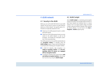# <span id="page-19-2"></span><span id="page-19-0"></span>4 dLAN network

# <span id="page-19-1"></span>4.1 Security in the dLAN

Before you can use the dLAN 500 AVmini in your dLAN network, first you have to connect it to other dLAN AV devices as a home network. Two specific pieces of information are especially important for this:

- Shared use of a dLAN password results in a delimited dLAN network.
- Shared use of the dLAN password serves as access control to the dLAN network as well as theencryption, and thereby the interception protection, of the transmitted data.

The dLAN password can be specified automatically via the **encryption button** or manually using the **dLAN Cockpit** program. Please note the following basic principle when choosing your encryption method:

- <span id="page-19-3"></span>- In dLAN AV networks, data encryption is as **simple as touching a button**, since **all corresponding dLAN AV devices are equipped with an encryption button**.
- **•** For dLAN AV networks that include devices **with and without encryption buttons**, data encryption must be set up using the **dLAN Cockpit**.

# 4.2 dLAN Cockpit

devolo **dLAN Cockpit** is a monitoring and encryption program that detects all reachable dLAN AV devices in your home network and combines them in a secure network. Due to its logical graphic design, the dLAN Cockpit is easy and intuitive to operate. After installing the devolo software, it can be found in the **Start**  $\triangle$  $\textsf{Programs} \; \mathbin{\uparrow} \; \textsf{devolo} \; \text{program group}.$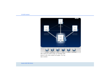

After starting the dLAN Cockpit, all reachable dLAN devices in your home network will appear. This may take a moment.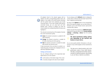All adapters found in the network appear with as adapter icon with a corresponding product name. The adapter in the middle of the dLAN network identified with the symbol shown here symbolises your locally connected device. If you have multiple dLAN devices connected locally, you can jump back and forth between them. Clicking an adapter icon with the mouse enables the corresponding dLAN AV device and highlights it.

The coloured connecting lines of the adapters illustrate the current transmission quality:

- **Green**: the network connection is suitable for HD video streaming.
- **Orange**: the network connection is suitable for SD video streaming and online gaming.
- **Red**: the network connection is suitable for simple data transfer and Internet access.

If data transmission from one device to another is actually taking place, the data rate is displayed on the respectively highlighted adapter.

## Settings and functions

You can configure settings for the respectively highlighted device or for the network

- via the buttons at the bottom edge of the screen
- or via tabs arranged at the side of each adapter.

You can always use the **Refresh** button to display the current status of devices that have been found (if this hasn't happened automatically).

By means of the **Options** button or the corresponding tabs of the respective adapter, you can learn device information such as the firmware version used and theindividual MAC address.

Options are given like assigning an **additional name**, resetting the respective device to the **factory default settings** or **removing** a **device** from the existing dLAN network.

 $(0)$ 

#### *The above-mentioned setting options vary depending on the function and features of your device.*

You can also specify whether information on the performance of your dLAN adapters will be transferred to devolo.

> *The data sent to devolo pertains only to the performance values of your dLAN devices. The data is anonymised and will be used exclusively for statistical purposes. By providing it, you can help us improve our products.*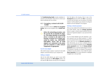The **Troubleshooting Guide** includes installation instructions and information about how to connect your devices optimally with one another.

# 4.2.1 Encrypting a network with dLAN Cockpit

If you use dLAN AV devices **without an encryption button**, data can be encrypted only via **dLAN Cockpit**.

> *Before the networking procedure, note the security IDs of all dLAN AV adapters. This unique identifier of each dLAN device is located on the label on thehousing. It consists of 4 x 4 letters separated by dashes (e.g. ANJR-KMOR-KSHT-QRUV). Ensure that all dLAN adapters are connected to the power grid and computers or other network components as appropriate.*

## Scan for local adapter

After dLAN Cockpit is started, it searches for the dLAN adapter connected directly to your computer first.

## Adding an adapter

Add all the dLAN devices you want to your dLAN network by selecting the **Add adapter** button. You will need the **16**-character security IDs of the adapters from the label on the housing. Enter it now in the **Security ID** field and confirm with **OK**. If a security ID is correct and the device can be reached in the dLANnetwork, it will be added to your network of configured adapters and also displayed in the program.

#### Entering a network password

After you have added all the dLAN devices you want to your dLAN network, select the **Change password** button to assign a shared network password that will apply for all registered adapters in your personal home network.

You can choose between your own password, a random password and the default password. To define your own password with a length of at least eight characters, enter this into the **Network password** text field. Alternatively, you can have a randomly selected, highly secure password assigned using the **Generate secure password** button. Use the **Factory default password** button to reset the dLAN adapter to the default password. Normally, the display of the password is hidden for security reasons. If you enable the option **Show characters**, the current password is displayed in legible form in the text field.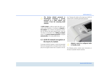*The factory default password is* **HomePlugAV***. Assigning a specific password to a single adapter will exclude it from the remaining dLAN network.*

If **dLAN Cockpit** is called up again later after a successful initial installation, for example to **integrate**<sup>a</sup> **new adapter** into a network, the application remembers the devices that were entered earlier. Enter thenew device as described in the **Adding an adapter** section. The **current network password** is assigned **automatically** to the newly added device.

# <span id="page-23-1"></span><span id="page-23-0"></span>4.3 dLAN AV network encryption at the touch of a button

<span id="page-23-3"></span><span id="page-23-2"></span>To encrypt a dLAN AV network, in which all associated devices are equipped with an encryption button, simply press the encryption button that is located on the device. Pressing this button will encrypt your dLAN AV network with a randomly generated password.



*Adapters cannot be configured while in Standby mode.*

The following section contains exact instructions on the basis of possible network scenarios: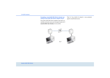#### Encrypting a new dLAN 500 AVmini network consisting of two dLAN 500 AVmini adapters (fig 4)

Once both dLAN 500 AVmini adapters have been successfully connected, press each encryption button for <sup>1</sup> second within two minutes of one another.

That's it! Your dLAN AV network is now protected against unauthorized access.

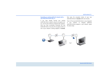#### Expanding an existing dLAN AV network with a new dLAN 500 AVmini (fig. 5)

If you have already secured your existing dLAN 500 AVmini network using the encryption button, use the same method to integrate other adapters. Once you have successfully connected the new dLAN 500 AVmini, first press the encryption button of one of your network's existing adapters (1 second), then press the encryption button of your new dLAN 500 AVmini (1 second) within two minutes.

That's it! The new dLAN 500 AVmini is now integrated in your network. To integrate additional dLAN 500 AVminiy adapters in your network, repeat the above steps.

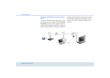#### Excluding a dLAN 500 AVmini from your network (fig. 6)

To exclude a dLAN 500 AVmini adapter from an existing network, press its encryption button for at least ten seconds. The device will be assigned a new randomly generated password and will thus no longer be able to access the network. To integrate the adapter in

a different dLAN 500 AVmini network, follow the steps described above, depending on whether you are setting up a new network or adding the adapter to an existing one.

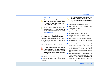# <span id="page-27-0"></span>5 Appendix

<span id="page-27-2"></span>*For the permitted voltage range for operating the device and the power consumption, refer to the label on the rear side of the device.* 

<span id="page-27-1"></span>*For the CE declaration for this product, refer to the accompanying product CD under* CE*. Additional technical information is availableat* www.devolo.com*.*

# 5.1 Important safety instructions

All safety and operating instructions should be read and understood before using the device, and should be kept for future reference.

• Never open the device. There are no user-serviceable parts inside the device.

*Do not try to service this product yourself! Contact qualified technicians each and every time your device needs maintenance. There is a risk of electricshock!*

- Use the device in a dry location only.
- **•** Always use the included network cable to connect the device.



*The outlet must be within reach of theconnected network devices. The adapter and the network devices must beeasily accessible.*

- **•** To switch the device off, pull the power plug.
- $\bullet$  To disconnect the device from the power supply grid, pull the power plug.
- **•** Do not insert any objects into the openings of the device.
- -Do not keep the device in direct sunlight.
- Slots and openings on the case serve as ventilation. Never block or cover them.
- -Never set up the device near a heater or radiator.
- - The device should be located only where sufficient ventilation can be ensured.
- - Disconnect the device from the power supply grid before cleaning. Use a moist towel to clean the device. Never use water, paint thinner, benzene, alcohol or other strong cleaning agents when cleaning the device, as these could damage the case.
- - Never use the device with a power supply that does not meet the specifications provided on the rating plate. If you do not know what type of power supply you have at home, contact your dealer or energy supplier.



 $(0)$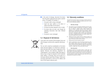- **•** In the event of damage, disconnect the device from the power supply grid and contact customer service. This applies, for example, if
	- $\circlearrowright$  the power cable or plug is damaged.
	- $\bigcirc$  liquid has been spilled on the device or objects have fallen into the device.
	- $\circlearrowright$  the device has been exposed to rain or water.
	- $\circlearrowright$  the device does not work, even though the operating instructions have been followed properly.
	- $\circlearrowright$  the device's case is damaged.

# 5.2 Disposal of old devices



To be used in the countries of the European Union and other European countries with a separate collecting system:

The icon with crossed-out wastebasket on the devicemeans that this adapter is an electrical or electronic device that falls within the scope of application of the German Electrical and Electronic Equipment Act ("Elektrogesetz"). Since 24 March 2006, these types of devices may no longer be disposed of with household waste. Rather, in Germany, they can be given to a municipal collection point free of charge. Contact your municipal government to find out the address and hours of the nearest collection point.

# 5.3 Warranty conditions

The devolo AG warranty is given to purchasers of devolo products in addition to the warranty conditions provided by law and in accordance with the following conditions:

#### 1 Warranty coverage

- The warranty covers the equipment delivered and all its parts. Parts will, at devolo's sole discretion, be replaced or repaired free of charge if, despite proven proper handling and adherence to the operating instructions, these parts became defective due to fabrication and/or material defects. Alternatively, devolo reserves the right to replace the defective product with a comparable product with the same specifications and features. Operating manuals and possibly supplied software are excluded from the warranty.
- b) Material and service charges shall be covered by devolo, but not shipping and handling costs involved in transport from the buyer to the service station and/or to devolo.
- Replaced parts become property of devolo.
- devolo is authorized to carry out technical changes (e.g. firmware updates) beyond repair and replacement of defective parts in order to bring the equipment up to the current technical state. This does not result in any additional charge for the customer. A legal claim to this service does not exist.

#### 2 Warranty period

The warranty period for this devolo product is three years. This period begins at the day of delivery from the devolo dealer. Warranty services carried out by devolo do not result in an extension of the warranty period nor do they initiate a new warranty period. The warranty period for installed replacement parts ends with the warranty period of the device as a whole.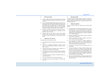#### 3 Warranty procedure

- a) If defects appear during the warranty period, the warranty claims must be made immediately, at the latest within a period of 7 days.
- In the case of any externally visible damage arising from transport (e.g. damage to the housing), the person carrying out the transportation and the sender should be informed immediately. On discovery of damage which is not externally visible, the transport company and the sender are to be immediately informed in writing, at the latest within 3 days of delivery.
- c) Transport to and from the location where the warranty claim is accepted and/or the repaired device is exchanged, is at the purchaser's own risk and cost.
- d) Warranty claims are only valid if a copy of the original purchase receipt is returned with the device. devolo reserves the right to require the submission of the original purchase receipt.

#### <sup>4</sup> Suspension of the warranty

All warranty claims will be deemed invalid

- a) if the label with the serial number has been removed from the device,
- b) if the device is damaged or destroyed as a result of acts of nature or by environmental influences (moisture, electric shock, dust, etc.),
- c) if the device was stored or operated under conditions not in compliance with the technical specifications,
- d) if the damage occurred due to incorrect handling, especially to non-observance of the system description and the operating instructions,
- e) if the device was opened, repaired or modified by persons not contracted by devolo,
- f) if the device shows any kind of mechanical damage, or
- g) if the warranty claim has not been reported in accordance with 3a) or 3b).

#### 5 Operating mistakes

If it becomes apparent that the reported malfunction of the device has been caused by unsuitable hardware, software, installation or operation, devolo reserves the right to charge the purchaser for the resulting testing costs.

#### 6 Additional regulations

The above conditions define the complete scope of devolo's legal liability.

- The warranty gives no entitlement to additional claims, such as any refund in full or in part. Compensation claims, regardless of the legal basis, are excluded. This does not apply if e.g. injury to persons or damage to private property are specifically covered by the product liability law, or in cases of intentional act or culpable negligence.
- b) Claims for compensation of lost profits, indirect or consequential detriments, are excluded.
- c) devolo is not liable for lost data or retrieval of lost data in cases of slight and ordinary negligence.
- d) In the case that the intentional or culpable negligence of devolo employees has caused a loss of data, devolo will be liable for those costs typical to the recovery of data where periodic security data back-ups have been made.
- e) The warranty is valid only for the first purchaser and is not transferable.
- The court of jurisdiction is located in Aachen, Germany in the case that the purchaser is a merchant. If the purchaser does not have a court of jurisdiction in the Federal Republic of Germany or if he moves his domicile out of Germany after conclusion of the contract, devolo's court of jurisdiction applies. This is also applicable if the purchaser's domicile is not known at the time of institution of proceedings.
- <span id="page-29-0"></span>g) The law of the Federal Republic of Germany is applicable. The UN commercial law does not apply to dealings between devolo and the purchaser.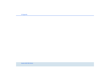|  | 30 Appendix |  |
|--|-------------|--|
|  |             |  |
|  |             |  |